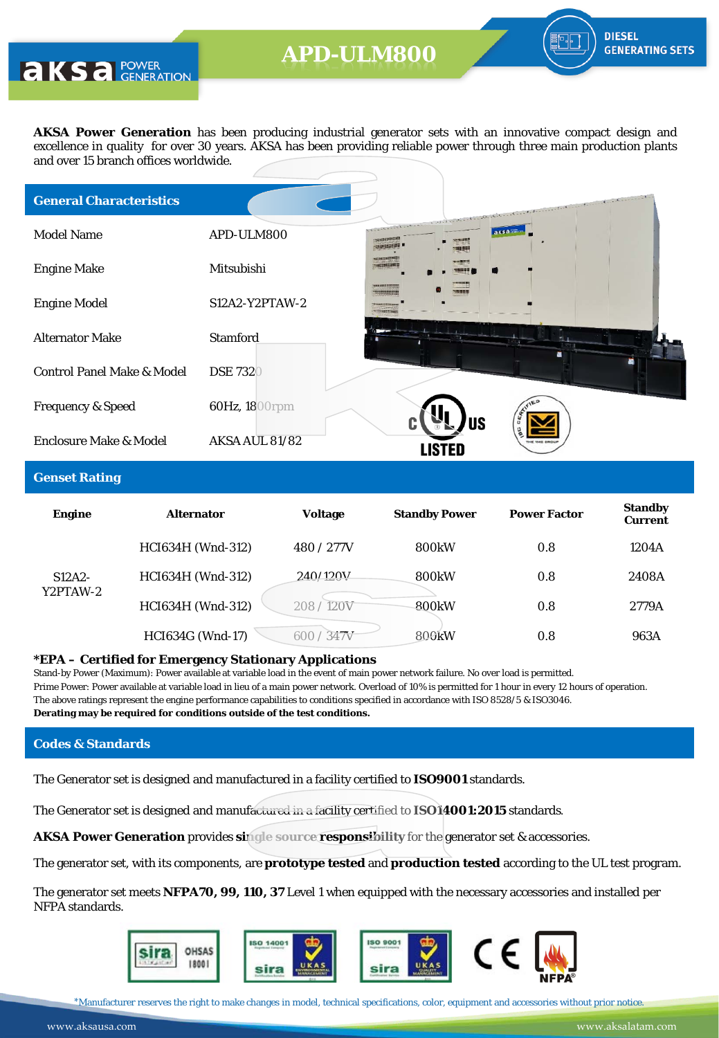**AKS** a POWER

**AKSA Power Generation** has been producing industrial generator sets with an innovative compact design and excellence in quality for over 30 years. AKSA has been providing reliable power through three main production plants and over 15 branch offices worldwide.

| <b>General Characteristics</b>        |                  |                                           |           | and a finite the deterministic constant of the continue | $\mathbf{C} = \mathbf{C} \times \mathbf{C} \times \mathbf{C} \times \mathbf{C} \times \mathbf{C} \times \mathbf{C} \times \mathbf{C} \times \mathbf{C} \times \mathbf{C} \times \mathbf{C} \times \mathbf{C} \times \mathbf{C} \times \mathbf{C} \times \mathbf{C} \times \mathbf{C} \times \mathbf{C} \times \mathbf{C} \times \mathbf{C} \times \mathbf{C} \times \mathbf{C} \times \mathbf{C} \times \mathbf{C} \times \mathbf{C} \times \mathbf{C} \times \mathbf{C} \times \mathbf{C} \times \mathbf{C$ |  |
|---------------------------------------|------------------|-------------------------------------------|-----------|---------------------------------------------------------|--------------------------------------------------------------------------------------------------------------------------------------------------------------------------------------------------------------------------------------------------------------------------------------------------------------------------------------------------------------------------------------------------------------------------------------------------------------------------------------------------------------|--|
| <b>Model Name</b>                     | APD-ULM800       | <b>Charles Charles</b><br>wereight(10.23) | aksass    |                                                         |                                                                                                                                                                                                                                                                                                                                                                                                                                                                                                              |  |
| <b>Engine Make</b>                    | Mitsubishi       | <b>CONSTRUCTS</b>                         |           |                                                         |                                                                                                                                                                                                                                                                                                                                                                                                                                                                                                              |  |
| <b>Engine Model</b>                   | $S12A2-Y2PTAW-2$ |                                           |           |                                                         |                                                                                                                                                                                                                                                                                                                                                                                                                                                                                                              |  |
| <b>Alternator Make</b>                | <b>Stamford</b>  |                                           |           |                                                         |                                                                                                                                                                                                                                                                                                                                                                                                                                                                                                              |  |
| <b>Control Panel Make &amp; Model</b> | <b>DSE 7320</b>  |                                           |           |                                                         |                                                                                                                                                                                                                                                                                                                                                                                                                                                                                                              |  |
| <b>Frequency &amp; Speed</b>          | 60Hz, 1800rpm    |                                           |           |                                                         |                                                                                                                                                                                                                                                                                                                                                                                                                                                                                                              |  |
| Enclosure Make & Model                | AKSA AUL 81/82   |                                           | <b>US</b> |                                                         |                                                                                                                                                                                                                                                                                                                                                                                                                                                                                                              |  |

### **Genset Rating**

| <b>Engine</b>        | <b>Alternator</b>        | <b>Voltage</b>          | <b>Standby Power</b> | <b>Power Factor</b> | <b>Standby</b><br><b>Current</b> |
|----------------------|--------------------------|-------------------------|----------------------|---------------------|----------------------------------|
|                      | <b>HCI634H</b> (Wnd-312) | 480 / 277V              | <b>800kW</b>         | 0.8                 | 1204A                            |
| $S12A2-$<br>Y2PTAW-2 | HCI634H (Wnd-312)        | 240/120V                | <b>800kW</b>         | 0.8                 | 2408A                            |
|                      | HCI634H (Wnd-312)        | 208/120V                | <b>800kW</b>         | 0.8                 | 2779A                            |
|                      | <b>HCI634G (Wnd-17)</b>  | 347 <sub>V</sub><br>600 | 800kW                | 0.8                 | 963A                             |

#### **\*EPA – Certified for Emergency Stationary Applications**

Stand-by Power (Maximum): Power available at variable load in the event of main power network failure. No over load is permitted. Prime Power: Power available at variable load in lieu of a main power network. Overload of 10% is permitted for 1 hour in every 12 hours of operation. The above ratings represent the engine performance capabilities to conditions specified in accordance with ISO 8528/5 & ISO3046. **Derating may be required for conditions outside of the test conditions.**

### **Codes & Standards**

The Generator set is designed and manufactured in a facility certified to **ISO9001** standards.

The Generator set is designed and manufactured in a facility certified to **ISO14001:2015** standards.

**AKSA Power Generation** provides **single source responsibility** for the generator set & accessories.

The generator set, with its components, are **prototype tested** and **production tested** according to the UL test program.

The generator set meets **NFPA70, 99, 110, 37** Level 1 when equipped with the necessary accessories and installed per NFPA standards.



\*Manufacturer reserves the right to make changes in model, technical specifications, color, equipment and accessories without prior notice.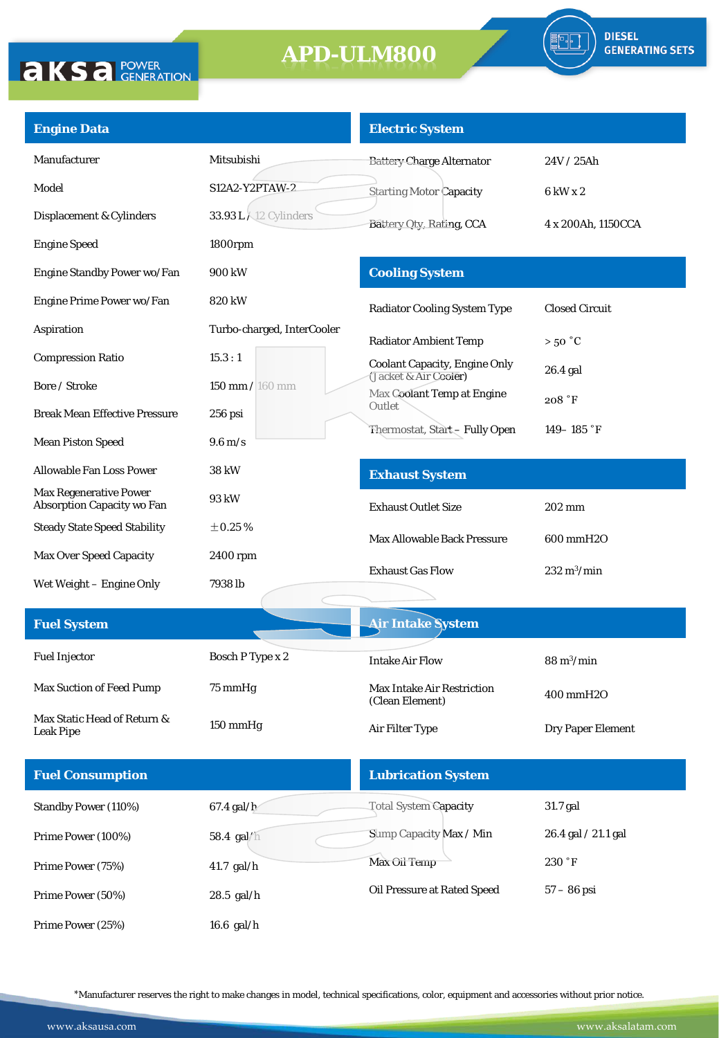

| <b>Engine Data</b>                                                 |                              | <b>Electric System</b>                               |                              |  |
|--------------------------------------------------------------------|------------------------------|------------------------------------------------------|------------------------------|--|
| Manufacturer                                                       | Mitsubishi                   | <b>Battery Charge Alternator</b>                     | 24V/25Ah                     |  |
| Model                                                              | S12A2-Y2PTAW-2               | <b>Starting Motor Capacity</b>                       | 6 kW x 2                     |  |
| Displacement & Cylinders                                           | <b>33.93 L X12 Cylinders</b> | Battery Oty, Rating, CCA                             | 4 x 200Ah, 1150CCA           |  |
| <b>Engine Speed</b>                                                | 1800rpm                      |                                                      |                              |  |
| Engine Standby Power wo/Fan                                        | 900 kW                       | <b>Cooling System</b>                                |                              |  |
| Engine Prime Power wo/Fan                                          | 820 kW                       | <b>Radiator Cooling System Type</b>                  | <b>Closed Circuit</b>        |  |
| Aspiration                                                         | Turbo-charged, InterCooler   | <b>Radiator Ambient Temp</b>                         | $>50\degree C$               |  |
| <b>Compression Ratio</b>                                           | 15.3:1                       | <b>Coolant Capacity, Engine Only</b>                 | $26.4$ gal                   |  |
| Bore / Stroke                                                      | 150 mm / 160 mm              | (Jacket & Air Cooler)<br>Max Coolant Temp at Engine  |                              |  |
| <b>Break Mean Effective Pressure</b>                               | $256$ psi                    | Outlet                                               | 208 °F                       |  |
| <b>Mean Piston Speed</b>                                           | $9.6 \,\mathrm{m/s}$         | Thermostat, Start-Fully Open                         | 149-185 $\degree$ F          |  |
| <b>Allowable Fan Loss Power</b>                                    | 38 kW                        | <b>Exhaust System</b>                                |                              |  |
| <b>Max Regenerative Power</b><br><b>Absorption Capacity wo Fan</b> | 93 kW                        | <b>Exhaust Outlet Size</b>                           | 202 mm                       |  |
| <b>Steady State Speed Stability</b>                                | $\pm 0.25$ %                 | <b>Max Allowable Back Pressure</b>                   | 600 mmH2O                    |  |
| <b>Max Over Speed Capacity</b>                                     | 2400 rpm                     | <b>Exhaust Gas Flow</b>                              | $232 \text{ m}^3/\text{min}$ |  |
| Wet Weight - Engine Only                                           | 7938 lb                      |                                                      |                              |  |
| <b>Fuel System</b>                                                 |                              | <b>Air Intake System</b>                             |                              |  |
|                                                                    |                              |                                                      |                              |  |
| <b>Fuel Injector</b>                                               | Bosch P Type x 2             | <b>Intake Air Flow</b>                               | $88 \text{ m}^3/\text{min}$  |  |
| Max Suction of Feed Pump                                           | 75 mmHg                      | <b>Max Intake Air Restriction</b><br>(Clean Element) | 400 mmH2O                    |  |
| Max Static Head of Return &<br><b>Leak Pipe</b>                    | 150 mmHg                     | Air Filter Type                                      | Dry Paper Element            |  |
| <b>Fuel Consumption</b>                                            |                              | <b>Lubrication System</b>                            |                              |  |
| Standby Power (110%)                                               | 67.4 gal/h                   | <b>Total System Capacity</b>                         | 31.7 gal                     |  |
| Prime Power (100%)                                                 | 58.4 gal/h                   | Sump Capacity Max / Min                              | 26.4 gal / 21.1 gal          |  |
| Prime Power (75%)                                                  | 41.7 gal/h                   | Max Oil Temp                                         | 230 °F                       |  |
| Prime Power (50%)                                                  | 28.5 gal/h                   | Oil Pressure at Rated Speed                          | $57 - 86$ psi                |  |
| Prime Power (25%)                                                  | $16.6$ gal/h                 |                                                      |                              |  |

\*Manufacturer reserves the right to make changes in model, technical specifications, color, equipment and accessories without prior notice.

**AKSA POWER**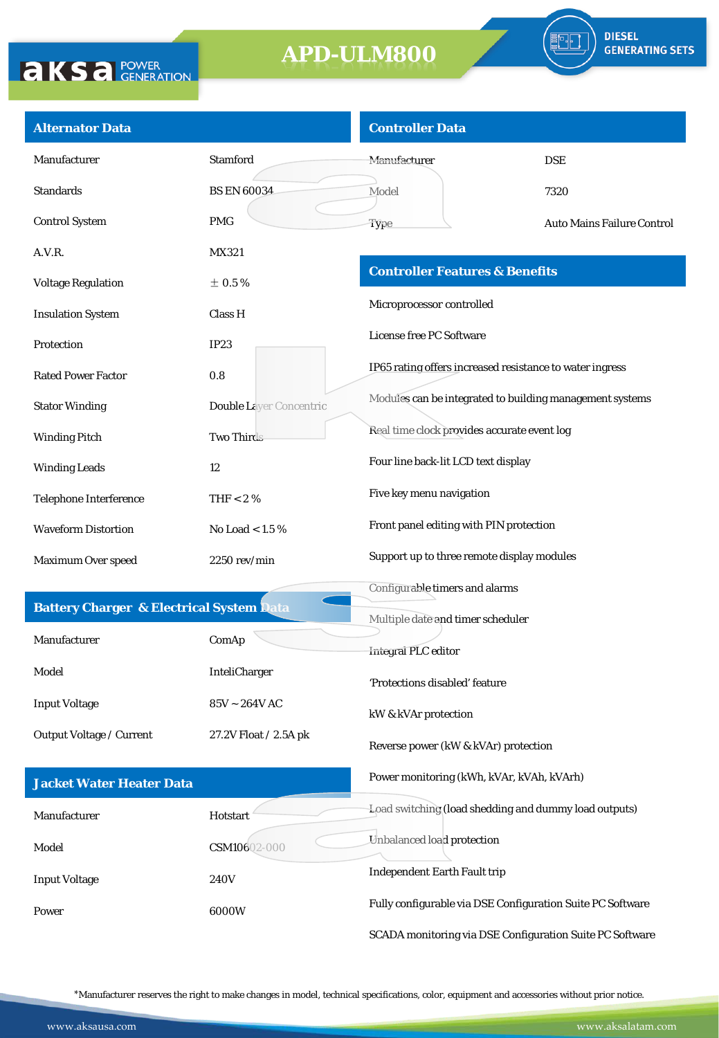

| <b>Alternator Data</b>                              |                                | <b>Controller Data</b>                                     |                                   |  |  |  |
|-----------------------------------------------------|--------------------------------|------------------------------------------------------------|-----------------------------------|--|--|--|
| Manufacturer                                        | <b>Stamford</b>                | Manufacturer                                               | <b>DSE</b>                        |  |  |  |
| <b>Standards</b>                                    | <b>BS EN 60034</b>             | Model                                                      | 7320                              |  |  |  |
| <b>Control System</b>                               | <b>PMG</b>                     | Type                                                       | <b>Auto Mains Failure Control</b> |  |  |  |
| A.V.R.                                              | MX321                          |                                                            |                                   |  |  |  |
| <b>Voltage Regulation</b>                           | $\pm$ 0.5 %                    | <b>Controller Features &amp; Benefits</b>                  |                                   |  |  |  |
| <b>Insulation System</b>                            | Class H                        | Microprocessor controlled                                  |                                   |  |  |  |
| Protection                                          | <b>IP23</b>                    | License free PC Software                                   |                                   |  |  |  |
| <b>Rated Power Factor</b>                           | 0.8                            | IP65 rating offers increased resistance to water ingress   |                                   |  |  |  |
| <b>Stator Winding</b>                               | <b>Double Laver Concentric</b> | Modules can be integrated to building management systems   |                                   |  |  |  |
| <b>Winding Pitch</b>                                | <b>Two Thirds</b>              | Real time clock provides accurate event log                |                                   |  |  |  |
| <b>Winding Leads</b>                                | 12                             | Four line back-lit LCD text display                        |                                   |  |  |  |
| Telephone Interference                              | THF $< 2 \%$                   | Five key menu navigation                                   |                                   |  |  |  |
| <b>Waveform Distortion</b>                          | No Load $< 1.5 \%$             | Front panel editing with PIN protection                    |                                   |  |  |  |
| Maximum Over speed                                  | $2250$ rev/min                 | Support up to three remote display modules                 |                                   |  |  |  |
|                                                     |                                | Configurable timers and alarms                             |                                   |  |  |  |
| <b>Battery Charger &amp; Electrical System Data</b> |                                | Multiple date and timer scheduler                          |                                   |  |  |  |
| Manufacturer                                        | ComAp                          | Integral PLC editor                                        |                                   |  |  |  |
| Model                                               | InteliCharger                  | 'Protections disabled' feature                             |                                   |  |  |  |
| <b>Input Voltage</b>                                | $85V \sim 264V$ AC             | kW & kVAr protection                                       |                                   |  |  |  |
| Output Voltage / Current                            | 27.2V Float / 2.5A pk          | Reverse power (kW & kVAr) protection                       |                                   |  |  |  |
| <b>Jacket Water Heater Data</b>                     |                                | Power monitoring (kWh, kVAr, kVAh, kVArh)                  |                                   |  |  |  |
| Manufacturer                                        | Hotstart                       | Load switching (load shedding and dummy load outputs)      |                                   |  |  |  |
| Model                                               | CSM10602-000                   | Unbalanced load protection                                 |                                   |  |  |  |
| <b>Input Voltage</b>                                | <b>240V</b>                    | <b>Independent Earth Fault trip</b>                        |                                   |  |  |  |
| Power                                               | 6000W                          | Fully configurable via DSE Configuration Suite PC Software |                                   |  |  |  |
|                                                     |                                | SCADA monitoring via DSE Configuration Suite PC Software   |                                   |  |  |  |

\*Manufacturer reserves the right to make changes in model, technical specifications, color, equipment and accessories without prior notice.

**AKSA POWER**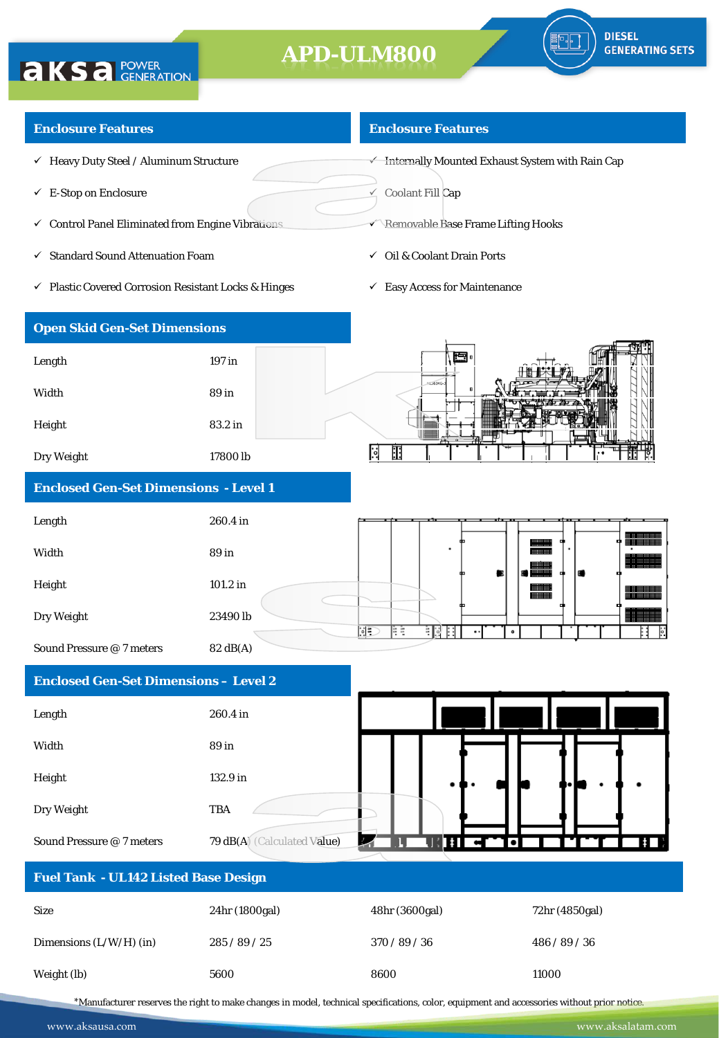

### **Enclosure Features**

**AKSA POWER** 

- $\checkmark$  Heavy Duty Steel / Aluminum Structure
- $\checkmark$  E-Stop on Enclosure
- $\checkmark$  Control Panel Eliminated from Engine Vibrations
- $\checkmark$  Standard Sound Attenuation Foam
- Plastic Covered Corrosion Resistant Locks & Hinges

#### **Enclosure Features**

 $\overline{\mathbf{v}}$  Internally Mounted Exhaust System with Rain Cap

 $\leq$  Coolant Fill Cap

- **Removable Base Frame Lifting Hooks**
- Oil & Coolant Drain Ports
- $\checkmark$  Easy Access for Maintenance

| <b>Open Skid Gen-Set Dimensions</b>          |                     |                                                      |
|----------------------------------------------|---------------------|------------------------------------------------------|
| Length                                       | 197 in              | 原                                                    |
| Width                                        | 89 in               | HC1634G-3                                            |
| Height                                       | 83.2 in             | ጦ                                                    |
| Dry Weight                                   | 17800 <sub>lb</sub> | Œ<br>.익                                              |
| <b>Enclosed Gen-Set Dimensions - Level 1</b> |                     |                                                      |
| Length                                       | 260.4 in            |                                                      |
| Width                                        | 89 in               | <u> :::::::::::</u><br>۰<br><b>BEERING</b>           |
| Height                                       | 101.2 in            | $\blacksquare$<br><b>WEBSTER</b><br><b>WH WHITHI</b> |

Dry Weight 23490 lb

Sound Pressure @ 7 meters 82 dB(A)

### **Enclosed Gen-Set Dimensions – Level 2**

| Length                    | 260.4 in                    |   |  |  |            |
|---------------------------|-----------------------------|---|--|--|------------|
| Width                     | 89 in                       |   |  |  |            |
| Height                    | 132.9 in                    |   |  |  |            |
| Dry Weight                | <b>TBA</b>                  |   |  |  |            |
| Sound Pressure @ 7 meters | 79 dB(A) (Calculated Value) | ◡ |  |  | $\ddagger$ |

 $\overline{\mathbb{D}}$ 

βŧ

E BU BE

 $\bullet$ 

| <b>Fuel Tank - UL142 Listed Base Design</b> |                |                |                |  |  |
|---------------------------------------------|----------------|----------------|----------------|--|--|
| <b>Size</b>                                 | 24hr (1800gal) | 48hr (3600gal) | 72hr (4850gal) |  |  |
| Dimensions $(L/W/H)$ (in)                   | 285/89/25      | 370/89/36      | 486 / 89 / 36  |  |  |
| Weight (lb)                                 | 5600           | 8600           | 11000          |  |  |

\*Manufacturer reserves the right to make changes in model, technical specifications, color, equipment and accessories without prior notice.